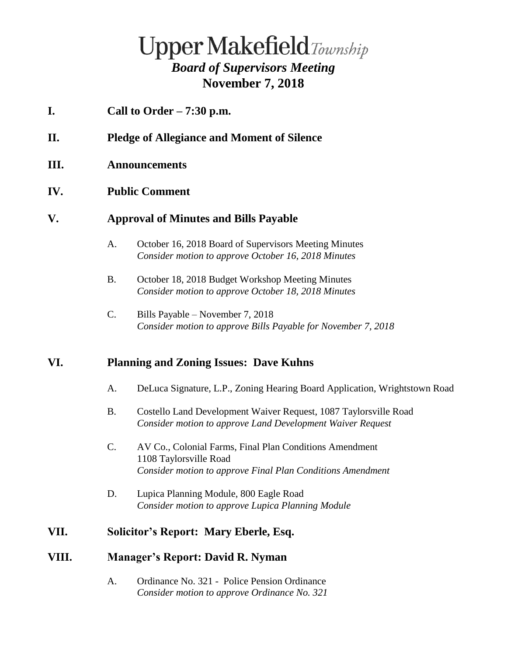# **Upper Makefield**Township *Board of Supervisors Meeting* **November 7, 2018**

- **I. Call to Order – 7:30 p.m.**
- **II. Pledge of Allegiance and Moment of Silence**
- **III. Announcements**

### **IV. Public Comment**

#### **V. Approval of Minutes and Bills Payable**

- A. October 16, 2018 Board of Supervisors Meeting Minutes *Consider motion to approve October 16, 2018 Minutes*
- B. October 18, 2018 Budget Workshop Meeting Minutes *Consider motion to approve October 18, 2018 Minutes*
- C. Bills Payable November 7, 2018 *Consider motion to approve Bills Payable for November 7, 2018*

#### **VI. Planning and Zoning Issues: Dave Kuhns**

- A. DeLuca Signature, L.P., Zoning Hearing Board Application, Wrightstown Road
- B. Costello Land Development Waiver Request, 1087 Taylorsville Road *Consider motion to approve Land Development Waiver Request*
- C. AV Co., Colonial Farms, Final Plan Conditions Amendment 1108 Taylorsville Road *Consider motion to approve Final Plan Conditions Amendment*
- D. Lupica Planning Module, 800 Eagle Road *Consider motion to approve Lupica Planning Module*

## **VII. Solicitor's Report: Mary Eberle, Esq.**

### **VIII. Manager's Report: David R. Nyman**

A. Ordinance No. 321 - Police Pension Ordinance *Consider motion to approve Ordinance No. 321*